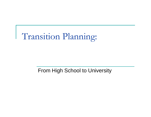

From High School to University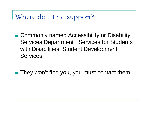Where do I find support?

- Commonly named Accessibility or Disability Services Department , Services for Students with Disabilities, Student Development **Services**
- They won't find you, you must contact them!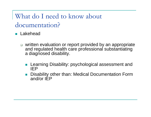What do I need to know about documentation?

**R** Lakehead

- □ written evaluation or report provided by an appropriate and regulated health care professional substantiating a diagnosed disability.
	- **Learning Disability: psychological assessment and** IEP
	- $\Box$  Disability other than: Medical Documentation Form and/or IEP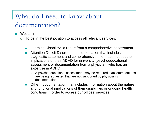# What do I need to know about documentation?

- $\overline{\phantom{a}}$  Western
	- $\Box$  To be in the best position to access all relevant services:
		- Learning Disability: a report from a comprehensive assessment
		- $\sim$  Attention Deficit Disorders: documentation that includes a diagnostic statement and comprehensive information about the implications of their ADHD for university (psychoeducational assessment or documentation from a physician, who has an expertise in ADHD).
			- □ A psychoeducational assessment may be required if accommodations are being requested that are not supported by physician's documentation.
		- Other: documentation that includes information about the nature and functional implications of their disabilities or ongoing health conditions in order to access our offices' services.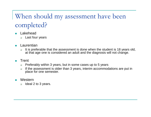# When should my assessment have been completed?

- m. Lakehead
	- □ Last four years
- T. Laurentian
	- $\Box$  It is preferable that the assessment is done when the student is 18 years old, at that age one is considered an adult and the diagnosis will not change.

#### $\overline{\phantom{a}}$ Trent

- $\Box$ Preferably within 3 years, but in some cases up to 5 years
- $\Box$  If the assessment is older than 3 years, interim accommodations are put in place for one semester.
- $\mathcal{C}^{\mathcal{A}}$  Western
	- $\Box$ Ideal 2 to 3 years.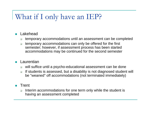## What if I only have an IEP?

### $\overline{\mathcal{A}}$ Lakehead

- $\Box$ temporary accommodations until an assessment can be completed
- $\Box$  temporary accommodations can only be offered for the first semester; however, if assessment process has been started accommodations may be continued for the second semester

#### **The State Laurentian**

- $\Box$ will suffice until a psycho-educational assessment can be done
- $\Box$  If students is assessed, but a disability is not diagnosed student will be "weaned" off accommodations (not terminated immediately)
- $\mathcal{L}_{\mathcal{A}}$  Trent
	- $\Box$  Interim accommodations for one term only while the student is having an assessment completed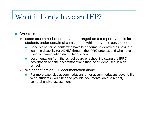## What if I only have an IEP?

#### $\overline{\phantom{a}}$ **Western**

- $\Box$  some accommodations may be arranged on a temporary basis for students under certain circumstances while they are reassessed
	- L. Specifically, for students who have been formally identified as having a learning disability (or ADHD) through the IPRC process and who have used accommodation during high school
	- $\overline{\phantom{a}}$  documentation from the school board or school indicating the IPRC designation and the accommodations that the student used in high school.
- $\Box$  We cannot act on IEP documentation alone
	- E For more extensive accommodations or for accommodations beyond first year, students would need to provide documentation of a recent, comprehensive assessment.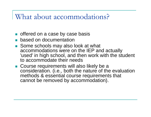### What about accommodations?

- **offered on a case by case basis**
- **based on documentation**
- Some schools may also look at what accommodations were on the IEP and actually 'used' in high school, and then work with the student to accommodate their needs
- **Course requirements will also likely be a** consideration. (i.e., both the nature of the evaluation methods & essential course requirements that cannot be removed by accommodation).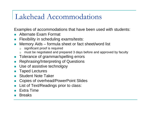## Lakehead Accommodations

Examples of accommodations that have been used with students:

- **Alternate Exam Format**
- **Filexibility in scheduling exams/tests:**
- $\mathcal{L}^{\mathcal{L}}$  Memory Aids – formula sheet or fact sheet/word list
	- $\Box$ significant proof is required
	- $\Box$ must be negotiated and prepared 3 days before and approved by faculty
- F. Tolerance of grammar/spelling errors
- **Rephrasing/Interpreting of Questions**
- **Use of assistive technolgoy**
- **Taped Lectures**
- **Student Note Taker**
- П Copies of overhead/PowerPoint Slides
- **List of Text/Readings prior to class:**
- **Extra Time**
- Breaks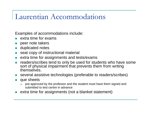### Laurentian Accommodations

Examples of accommodations include:

- $\blacksquare$  extra time for exams
- $\mathcal{C}^{\mathcal{A}}$ peer note takers
- **u** duplicated notes
- $\Box$ seat copy of instructional material
- $\blacksquare$  extra time for assignments and tests/exams
- П readers/scribes tend to only be used for students who have some sort of physical impairment that prevents them from writing themselves.
- **Several assistive technologies (preferable to readers/scribes)**
- **que sheets** 
	- □ pre-approved by the professor and the student must have them signed and submitted to test centre in advance
- P. extra time for assignments (not a blanket statement)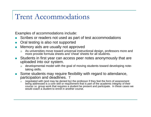## Trent Accommodations

Examples of accommodations include:

- $\mathcal{C}^{\mathcal{A}}$ Scribes or readers not used as part of test accommodations
- **COL** Oral testing is also not supported
- П Memory aids are usually not approved
	- ❏ As universities move toward universal instructional design, professors more and more provide formula sheets and 'cheat' sheets for all students.
- $\mathcal{C}^{\mathcal{A}}$  Students in first year can access peer notes anonymously that are uploaded into our system.
	- $\Box$  developmental model with the goal of moving students toward developing notetaking skills.
- **Some students may require flexibility with regard to attendance,** participation and deadlines. T
	- □ negotiated with (and may be denied by) the professor if they feel the form of assessment being addressed is a core skill or requirement that is part of the academic integrity of their course i.e. group work that requires a student be present and participate. In these cases we would coach a student to enroll in another course.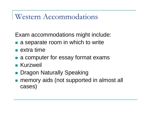### Western Accommodations

Exam accommodations might include:

- **a** a separate room in which to write
- $\blacksquare$  extra time
- **a** a computer for essay format exams
- **R** Kurzweil
- **Dragon Naturally Speaking**
- $\mathbb{R}^3$  memory aids (not supported in almost all cases)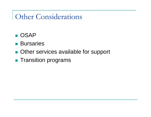## Other Considerations

- OSAP
- **Bursaries**
- **Other services available for support**
- $\mathbb{R}^3$ **Transition programs**